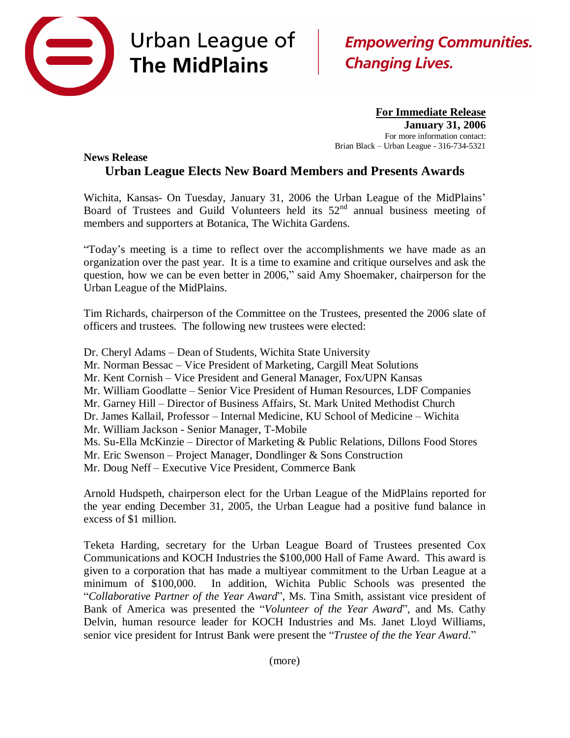

## Urban League of **The MidPlains**

## **Empowering Communities. Changing Lives.**

**For Immediate Release January 31, 2006** For more information contact: Brian Black – Urban League - 316-734-5321

## **News Release Urban League Elects New Board Members and Presents Awards**

Wichita, Kansas- On Tuesday, January 31, 2006 the Urban League of the MidPlains' Board of Trustees and Guild Volunteers held its  $52<sup>nd</sup>$  annual business meeting of members and supporters at Botanica, The Wichita Gardens.

"Today's meeting is a time to reflect over the accomplishments we have made as an organization over the past year. It is a time to examine and critique ourselves and ask the question, how we can be even better in 2006," said Amy Shoemaker, chairperson for the Urban League of the MidPlains.

Tim Richards, chairperson of the Committee on the Trustees, presented the 2006 slate of officers and trustees. The following new trustees were elected:

- Dr. Cheryl Adams Dean of Students, Wichita State University
- Mr. Norman Bessac Vice President of Marketing, Cargill Meat Solutions
- Mr. Kent Cornish Vice President and General Manager, Fox/UPN Kansas
- Mr. William Goodlatte Senior Vice President of Human Resources, LDF Companies
- Mr. Garney Hill Director of Business Affairs, St. Mark United Methodist Church
- Dr. James Kallail, Professor Internal Medicine, KU School of Medicine Wichita
- Mr. William Jackson Senior Manager, T-Mobile
- Ms. Su-Ella McKinzie Director of Marketing & Public Relations, Dillons Food Stores
- Mr. Eric Swenson Project Manager, Dondlinger & Sons Construction
- Mr. Doug Neff Executive Vice President, Commerce Bank

Arnold Hudspeth, chairperson elect for the Urban League of the MidPlains reported for the year ending December 31, 2005, the Urban League had a positive fund balance in excess of \$1 million.

Teketa Harding, secretary for the Urban League Board of Trustees presented Cox Communications and KOCH Industries the \$100,000 Hall of Fame Award. This award is given to a corporation that has made a multiyear commitment to the Urban League at a minimum of \$100,000. In addition, Wichita Public Schools was presented the "*Collaborative Partner of the Year Award*", Ms. Tina Smith, assistant vice president of Bank of America was presented the "*Volunteer of the Year Award*", and Ms. Cathy Delvin, human resource leader for KOCH Industries and Ms. Janet Lloyd Williams, senior vice president for Intrust Bank were present the "*Trustee of the the Year Award*."